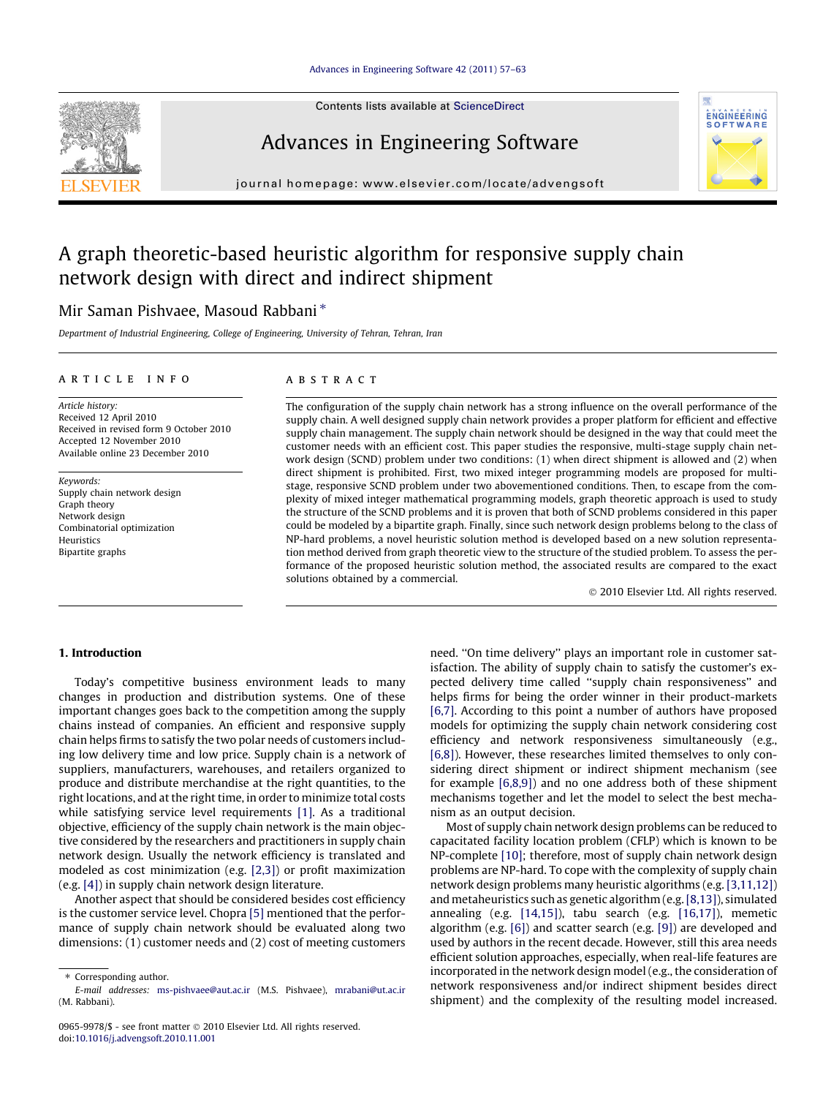Contents lists available at [ScienceDirect](http://www.sciencedirect.com/science/journal/09659978)

# Advances in Engineering Software

journal homepage: [www.elsevier.com/locate/advengsoft](http://www.elsevier.com/locate/advengsoft)

# A graph theoretic-based heuristic algorithm for responsive supply chain network design with direct and indirect shipment

# Mir Saman Pishvaee, Masoud Rabbani<sup>\*</sup>

Department of Industrial Engineering, College of Engineering, University of Tehran, Tehran, Iran

#### article info

Article history: Received 12 April 2010 Received in revised form 9 October 2010 Accepted 12 November 2010 Available online 23 December 2010

Keywords: Supply chain network design Graph theory Network design Combinatorial optimization Heuristics Bipartite graphs

## ABSTRACT

The configuration of the supply chain network has a strong influence on the overall performance of the supply chain. A well designed supply chain network provides a proper platform for efficient and effective supply chain management. The supply chain network should be designed in the way that could meet the customer needs with an efficient cost. This paper studies the responsive, multi-stage supply chain network design (SCND) problem under two conditions: (1) when direct shipment is allowed and (2) when direct shipment is prohibited. First, two mixed integer programming models are proposed for multistage, responsive SCND problem under two abovementioned conditions. Then, to escape from the complexity of mixed integer mathematical programming models, graph theoretic approach is used to study the structure of the SCND problems and it is proven that both of SCND problems considered in this paper could be modeled by a bipartite graph. Finally, since such network design problems belong to the class of NP-hard problems, a novel heuristic solution method is developed based on a new solution representation method derived from graph theoretic view to the structure of the studied problem. To assess the performance of the proposed heuristic solution method, the associated results are compared to the exact solutions obtained by a commercial.

- 2010 Elsevier Ltd. All rights reserved.

## 1. Introduction

Today's competitive business environment leads to many changes in production and distribution systems. One of these important changes goes back to the competition among the supply chains instead of companies. An efficient and responsive supply chain helps firms to satisfy the two polar needs of customers including low delivery time and low price. Supply chain is a network of suppliers, manufacturers, warehouses, and retailers organized to produce and distribute merchandise at the right quantities, to the right locations, and at the right time, in order to minimize total costs while satisfying service level requirements [\[1\]](#page--1-0). As a traditional objective, efficiency of the supply chain network is the main objective considered by the researchers and practitioners in supply chain network design. Usually the network efficiency is translated and modeled as cost minimization (e.g. [\[2,3\]](#page--1-0)) or profit maximization (e.g. [\[4\]](#page--1-0)) in supply chain network design literature.

Another aspect that should be considered besides cost efficiency is the customer service level. Chopra [\[5\]](#page--1-0) mentioned that the performance of supply chain network should be evaluated along two dimensions: (1) customer needs and (2) cost of meeting customers

⇑ Corresponding author.

need. ''On time delivery'' plays an important role in customer satisfaction. The ability of supply chain to satisfy the customer's expected delivery time called ''supply chain responsiveness'' and helps firms for being the order winner in their product-markets [\[6,7\].](#page--1-0) According to this point a number of authors have proposed models for optimizing the supply chain network considering cost efficiency and network responsiveness simultaneously (e.g., [\[6,8\]\)](#page--1-0). However, these researches limited themselves to only considering direct shipment or indirect shipment mechanism (see for example [\[6,8,9\]](#page--1-0)) and no one address both of these shipment mechanisms together and let the model to select the best mechanism as an output decision.

Most of supply chain network design problems can be reduced to capacitated facility location problem (CFLP) which is known to be NP-complete [\[10\]](#page--1-0); therefore, most of supply chain network design problems are NP-hard. To cope with the complexity of supply chain network design problems many heuristic algorithms (e.g. [\[3,11,12\]\)](#page--1-0) and metaheuristics such as genetic algorithm (e.g.[\[8,13\]\)](#page--1-0), simulated annealing (e.g. [\[14,15\]\)](#page--1-0), tabu search (e.g. [\[16,17\]](#page--1-0)), memetic algorithm (e.g. [\[6\]](#page--1-0)) and scatter search (e.g. [\[9\]\)](#page--1-0) are developed and used by authors in the recent decade. However, still this area needs efficient solution approaches, especially, when real-life features are incorporated in the network design model (e.g., the consideration of network responsiveness and/or indirect shipment besides direct shipment) and the complexity of the resulting model increased.



E-mail addresses: [ms-pishvaee@aut.ac.ir](mailto:ms-pishvaee@aut.ac.ir) (M.S. Pishvaee), [mrabani@ut.ac.ir](mailto:mrabani@ut.ac.ir) (M. Rabbani).

<sup>0965-9978/\$ -</sup> see front matter © 2010 Elsevier Ltd. All rights reserved. doi[:10.1016/j.advengsoft.2010.11.001](http://dx.doi.org/10.1016/j.advengsoft.2010.11.001)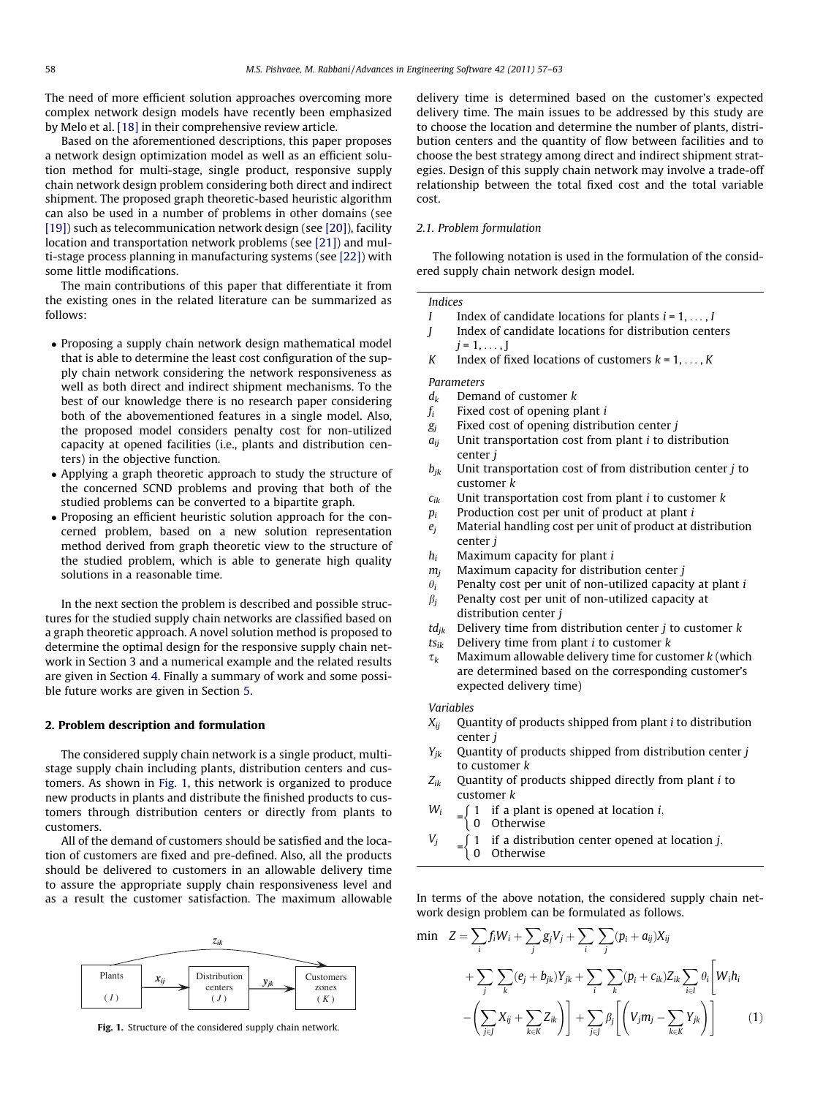The need of more efficient solution approaches overcoming more complex network design models have recently been emphasized by Melo et al. [\[18\]](#page--1-0) in their comprehensive review article.

Based on the aforementioned descriptions, this paper proposes a network design optimization model as well as an efficient solution method for multi-stage, single product, responsive supply chain network design problem considering both direct and indirect shipment. The proposed graph theoretic-based heuristic algorithm can also be used in a number of problems in other domains (see [\[19\]](#page--1-0)) such as telecommunication network design (see [\[20\]\)](#page--1-0), facility location and transportation network problems (see [\[21\]\)](#page--1-0) and multi-stage process planning in manufacturing systems (see [\[22\]](#page--1-0)) with some little modifications.

The main contributions of this paper that differentiate it from the existing ones in the related literature can be summarized as follows:

- Proposing a supply chain network design mathematical model that is able to determine the least cost configuration of the supply chain network considering the network responsiveness as well as both direct and indirect shipment mechanisms. To the best of our knowledge there is no research paper considering both of the abovementioned features in a single model. Also, the proposed model considers penalty cost for non-utilized capacity at opened facilities (i.e., plants and distribution centers) in the objective function.
- Applying a graph theoretic approach to study the structure of the concerned SCND problems and proving that both of the studied problems can be converted to a bipartite graph.
- Proposing an efficient heuristic solution approach for the concerned problem, based on a new solution representation method derived from graph theoretic view to the structure of the studied problem, which is able to generate high quality solutions in a reasonable time.

In the next section the problem is described and possible structures for the studied supply chain networks are classified based on a graph theoretic approach. A novel solution method is proposed to determine the optimal design for the responsive supply chain network in Section 3 and a numerical example and the related results are given in Section [4](#page--1-0). Finally a summary of work and some possible future works are given in Section [5](#page--1-0).

#### 2. Problem description and formulation

The considered supply chain network is a single product, multistage supply chain including plants, distribution centers and customers. As shown in Fig. 1, this network is organized to produce new products in plants and distribute the finished products to customers through distribution centers or directly from plants to customers.

All of the demand of customers should be satisfied and the location of customers are fixed and pre-defined. Also, all the products should be delivered to customers in an allowable delivery time to assure the appropriate supply chain responsiveness level and as a result the customer satisfaction. The maximum allowable



Fig. 1. Structure of the considered supply chain network.

delivery time is determined based on the customer's expected delivery time. The main issues to be addressed by this study are to choose the location and determine the number of plants, distribution centers and the quantity of flow between facilities and to choose the best strategy among direct and indirect shipment strategies. Design of this supply chain network may involve a trade-off relationship between the total fixed cost and the total variable cost.

## 2.1. Problem formulation

The following notation is used in the formulation of the considered supply chain network design model.

#### Indices

- I Index of candidate locations for plants  $i = 1, \ldots, I$
- J Index of candidate locations for distribution centers  $i = 1, \ldots, I$
- K Index of fixed locations of customers  $k = 1, \ldots, K$

#### Parameters

- $d_k$  Demand of customer  $k$
- $f_i$  Fixed cost of opening plant i
- $g_i$  Fixed cost of opening distribution center j
- $a_{ii}$  Unit transportation cost from plant *i* to distribution center j
- $b_{ik}$  Unit transportation cost of from distribution center j to customer  $k$
- $c_{ik}$  Unit transportation cost from plant *i* to customer *k*
- $p_i$  Production cost per unit of product at plant i
- $e_i$  Material handling cost per unit of product at distribution center j
- $h_i$  Maximum capacity for plant i
- $m<sub>i</sub>$  Maximum capacity for distribution center *i*
- $\theta_i$  Penalty cost per unit of non-utilized capacity at plant *i*
- $\beta_j$  Penalty cost per unit of non-utilized capacity at distribution center j
- $td_{ik}$  Delivery time from distribution center *j* to customer *k*
- $ts_{ik}$  Delivery time from plant *i* to customer *k*
- $\tau_k$  Maximum allowable delivery time for customer k (which are determined based on the corresponding customer's expected delivery time)

#### Variables

- $X_{ii}$  Quantity of products shipped from plant *i* to distribution center j
- $Y_{ik}$  Quantity of products shipped from distribution center j to customer k
- $Z_{ik}$  Quantity of products shipped directly from plant i to customer k
- $W_i = \begin{cases} 1 & \text{if a plant is opened at location } i, \\ 0 & \text{Otherwise} \end{cases}$
- $V_j = \begin{cases} 1 & \text{if a distribution center opened at location } j, \\ 0 & \text{Otherwise} \end{cases}$

In terms of the above notation, the considered supply chain network design problem can be formulated as follows.

$$
\begin{aligned}\n\min \quad Z &= \sum_{i} f_{i} W_{i} + \sum_{j} g_{j} V_{j} + \sum_{i} \sum_{j} (p_{i} + a_{ij}) X_{ij} \\
&\quad + \sum_{j} \sum_{k} (e_{j} + b_{jk}) Y_{jk} + \sum_{i} \sum_{k} (p_{i} + c_{ik}) Z_{ik} \sum_{i \in I} \theta_{i} \left[ W_{i} h_{i} \right. \\
&\quad - \left( \sum_{j \in J} X_{ij} + \sum_{k \in K} Z_{ik} \right) \right] + \sum_{j \in J} \beta_{j} \left[ \left( V_{j} m_{j} - \sum_{k \in K} Y_{jk} \right) \right] \tag{1}\n\end{aligned}
$$